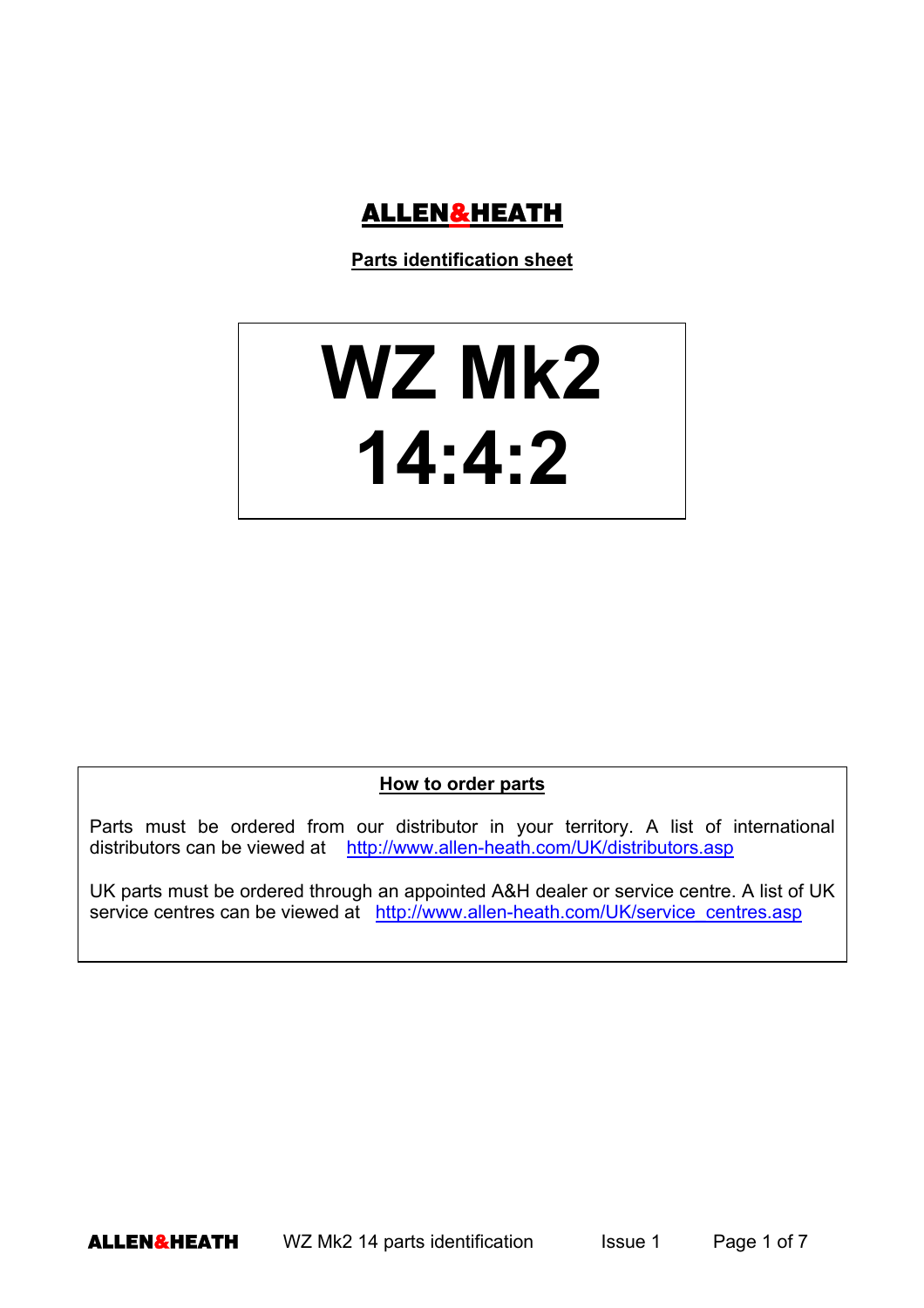

**Parts identification sheet**

## **WZ Mk2 14:4:2**

**How to order parts**

Parts must be ordered from our distributor in your territory. A list of international distributors can be viewed at http://www.allen-heath.com/UK/distributors.asp

UK parts must be ordered through an appointed A&H dealer or service centre. A list of UK service centres can be viewed at http://www.allen-heath.com/UK/service\_centres.asp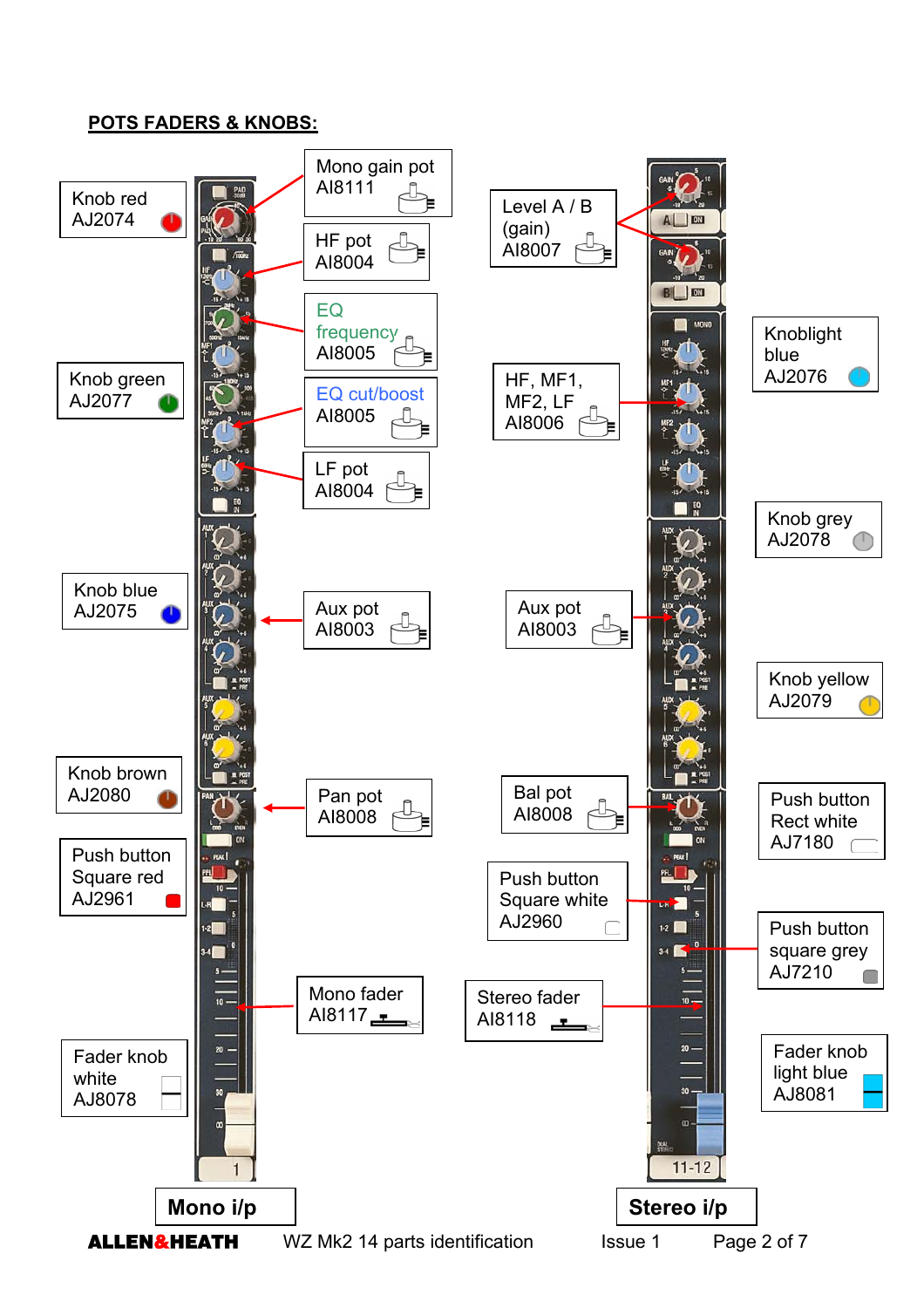## **POTS FADERS & KNOBS:**

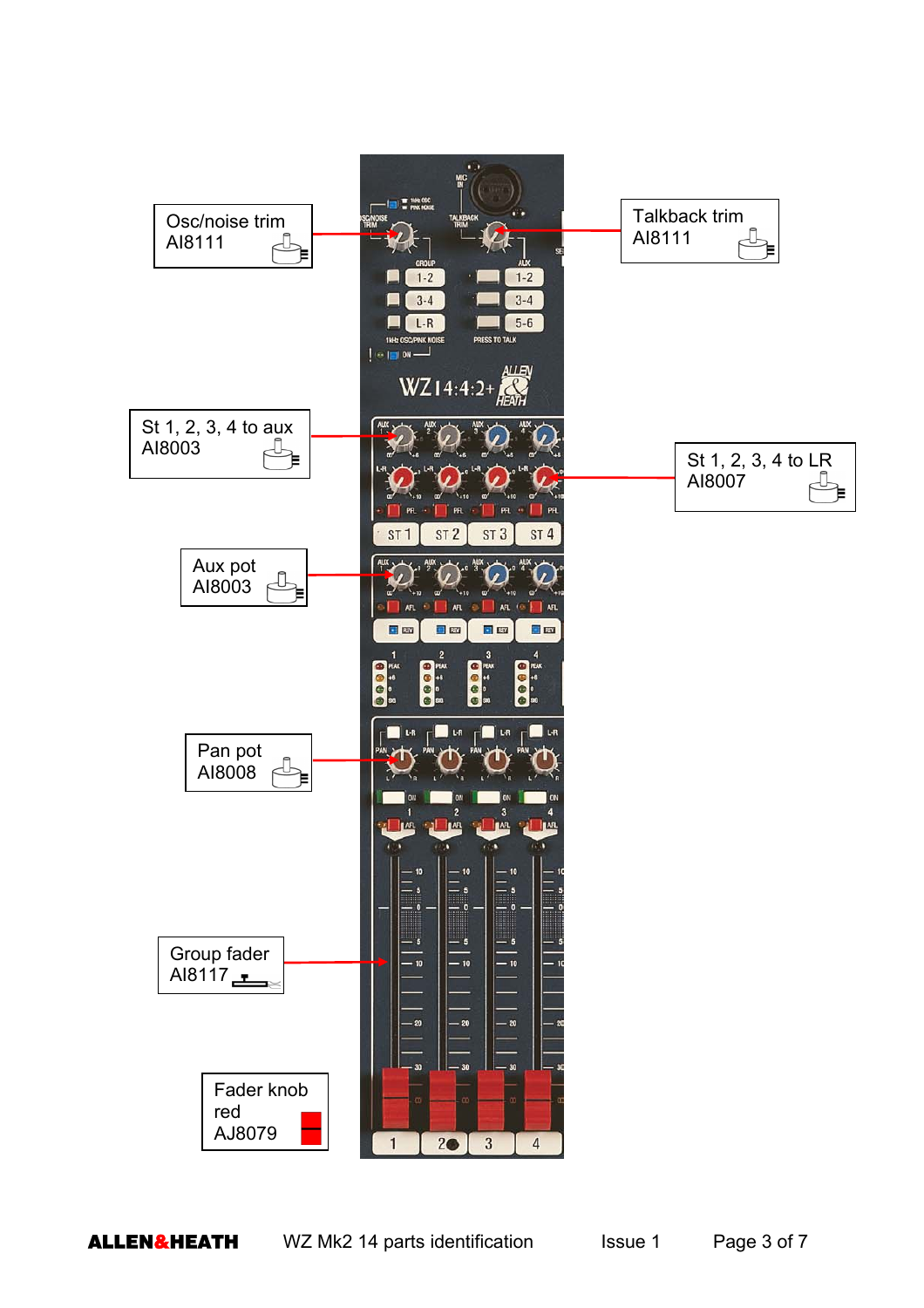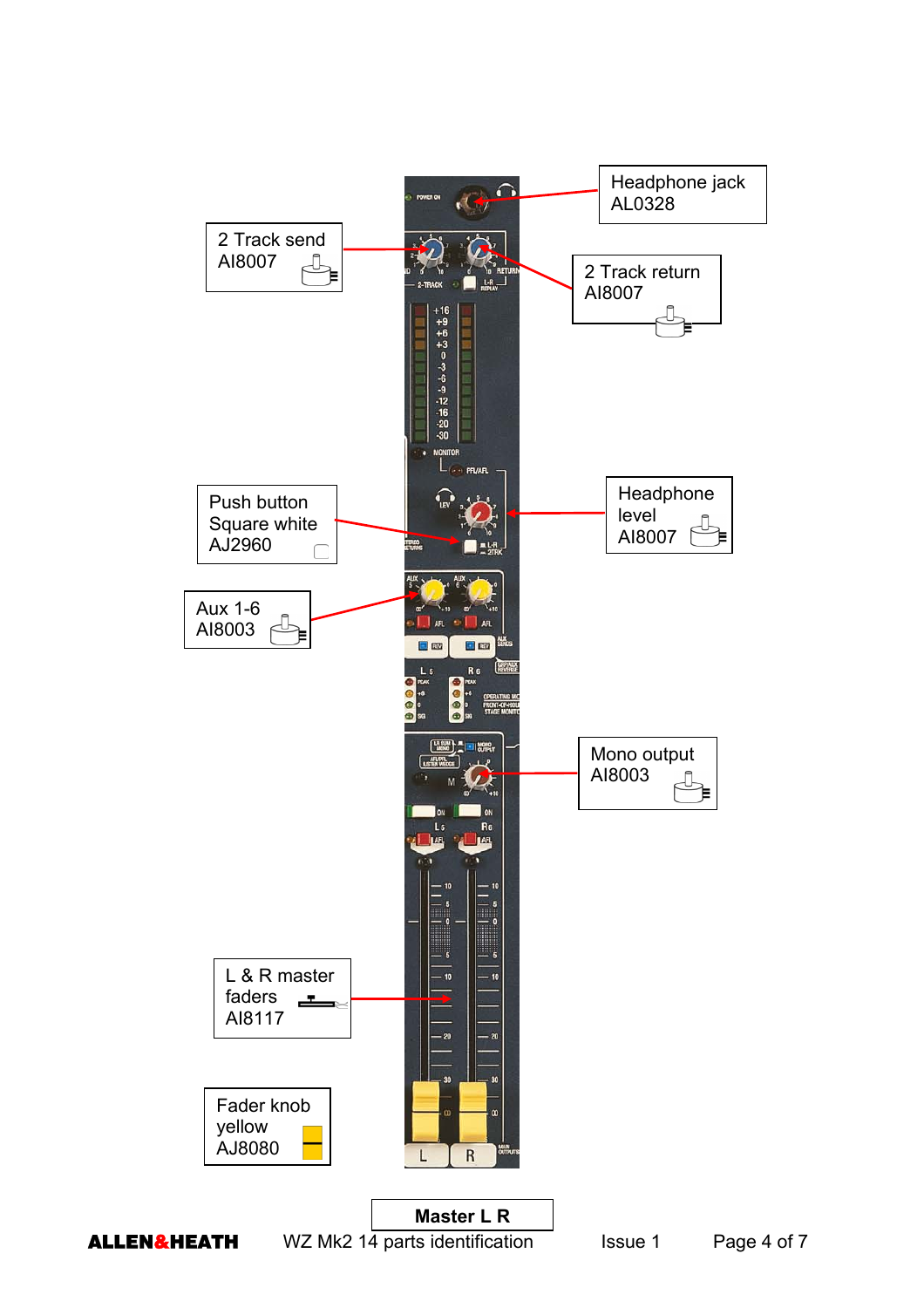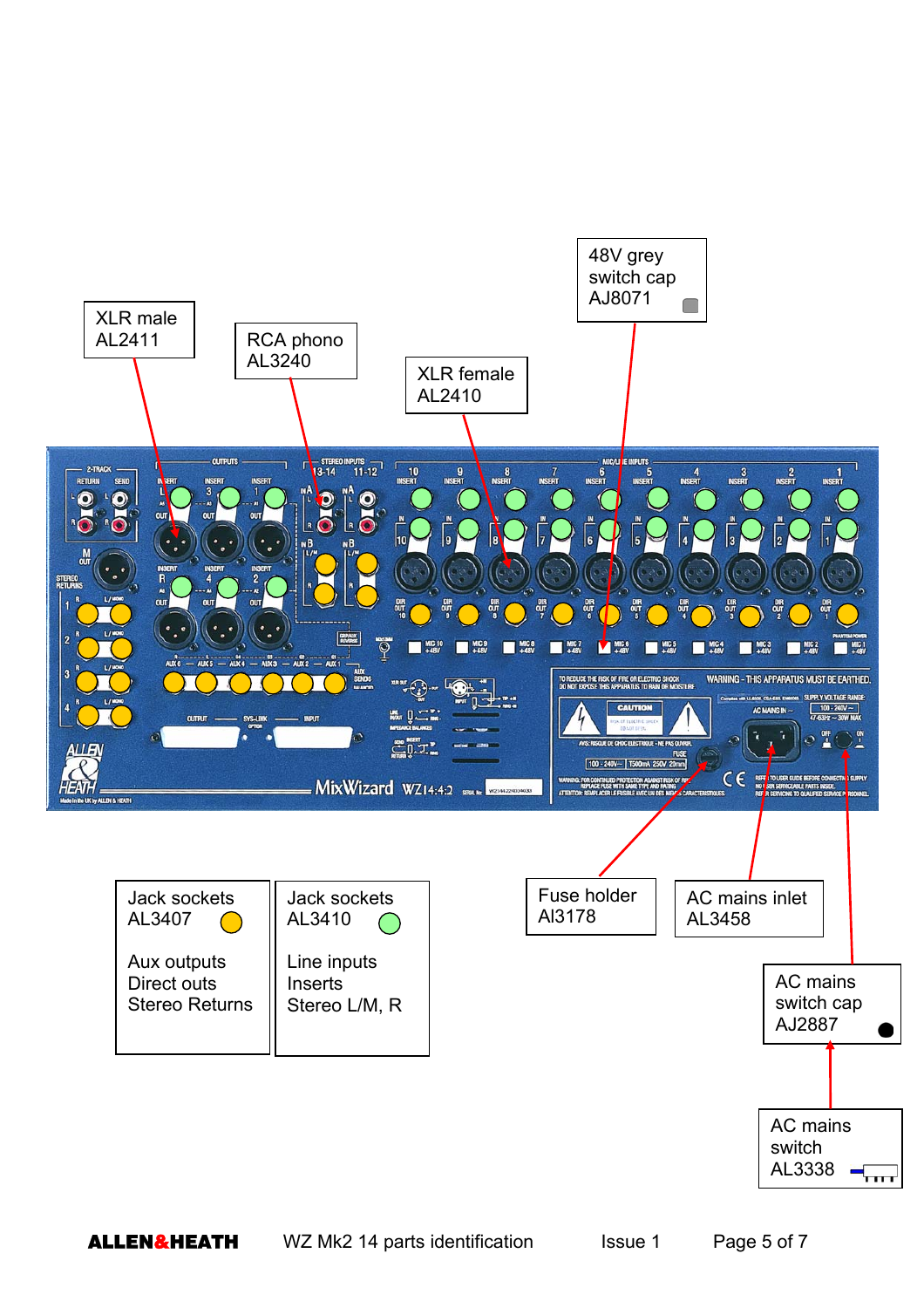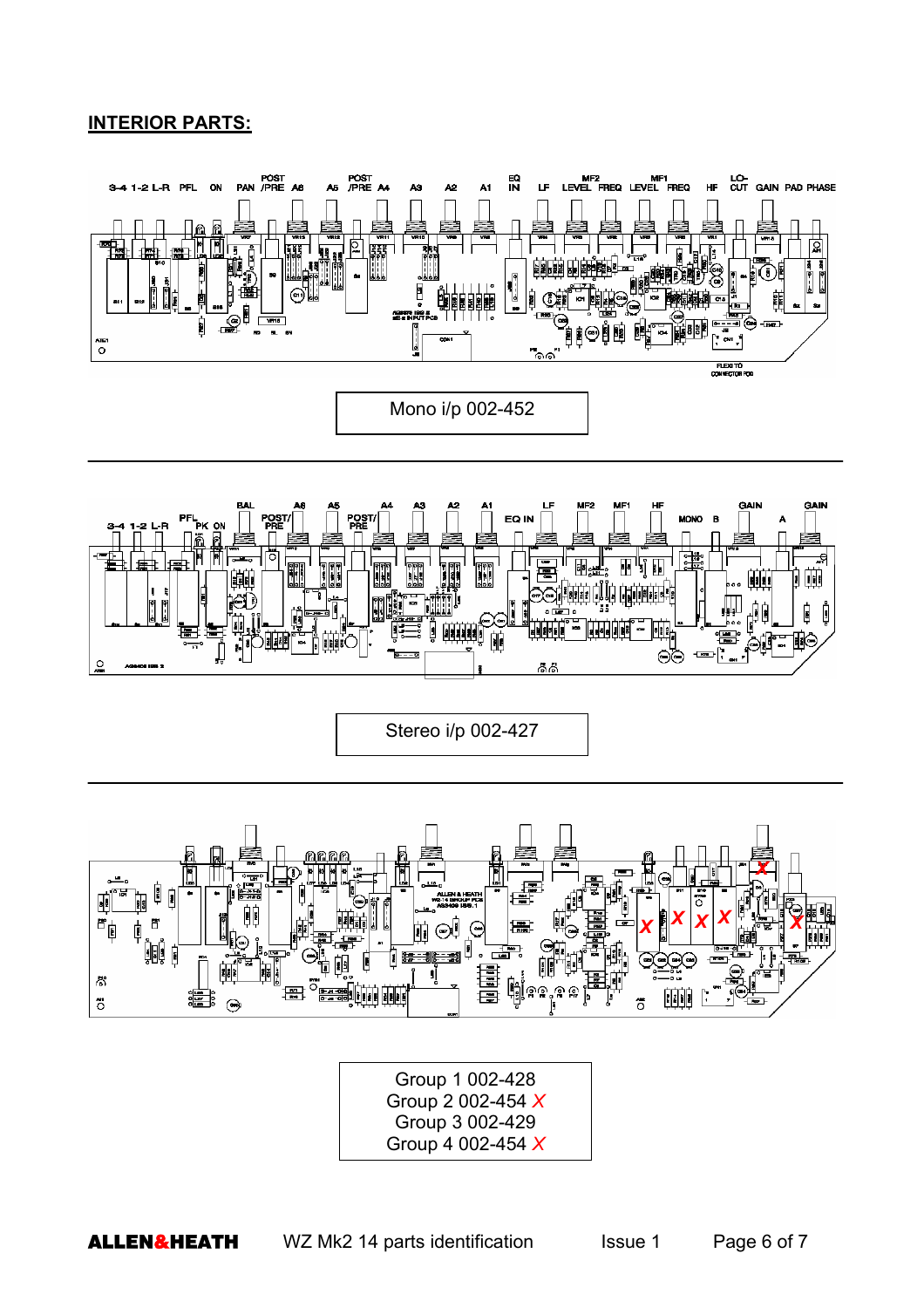## **INTERIOR PARTS:**





Group 1 002-428 Group 2 002-454 *X* Group 3 002-429 Group 4 002-454 *X*